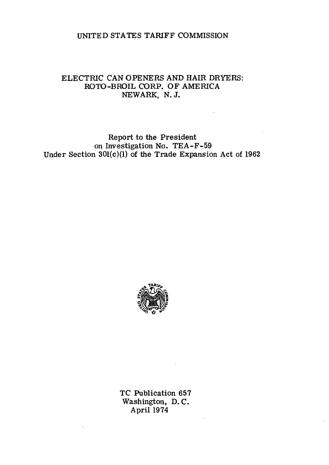## UNITED STATES TARIFF COMMISSION

# ELECTRIC CAN OPENERS AND HAIR DRYERS: ROTO-BROIL CORP. OF AMERICA NEWARK, N. J.

Report to the President on Investigation No. TEA-F-59 Under Section 30l(c)(l} of the Trade Expansion Act of 1962



TC Publication 657 Washington, D. C. April 1974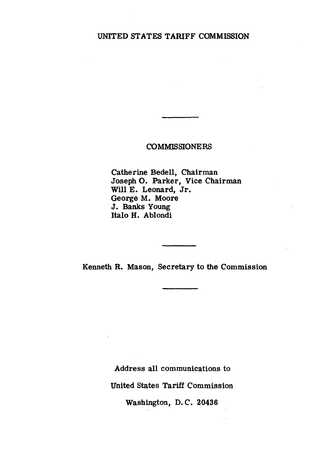## COMMISSIONERS

Catherine Bedell, Chairman Joseph 0. Parker, Vice Chairman Will E. Leonard, Jr. George M. Moore J. Banks Young Italo H. Ablondi

Kenneth R. Mason, Secretary to the Commission

Address all communications to United States Tariff Commission Washington, D. C. 20436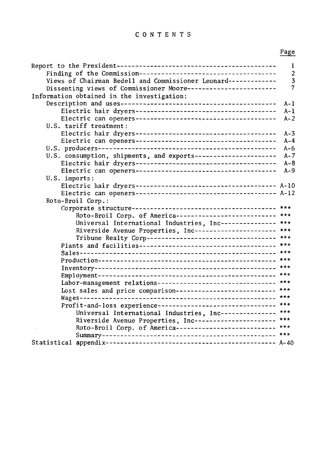# C 0 N T E N T S

# Page

|                                                                                                                         | $\mathbf 1$             |
|-------------------------------------------------------------------------------------------------------------------------|-------------------------|
|                                                                                                                         | $\overline{c}$          |
| Views of Chairman Bedell and Commissioner Leonard-------------                                                          | $\overline{\mathbf{3}}$ |
| Dissenting views of Commissioner Moore------------------------                                                          | $\overline{7}$          |
| Information obtained in the investigation:                                                                              |                         |
|                                                                                                                         | $A-1$                   |
|                                                                                                                         | $A-1$                   |
|                                                                                                                         | $A - 2$                 |
| U.S. tariff treatment:                                                                                                  |                         |
|                                                                                                                         | $A-3$                   |
|                                                                                                                         | $A - 4$                 |
|                                                                                                                         | $A - 6$                 |
| U.S. consumption, shipments, and exports----------------------                                                          | $A - 7$                 |
|                                                                                                                         | $A - 8$                 |
|                                                                                                                         | $A-9$                   |
| U.S. imports:                                                                                                           |                         |
|                                                                                                                         |                         |
|                                                                                                                         |                         |
| Roto-Broil Corp.:                                                                                                       |                         |
|                                                                                                                         |                         |
| Roto-Broil Corp. of America--------------------------- ***                                                              |                         |
| Universal International Industries, Inc-------------- ***                                                               |                         |
| Riverside Avenue Properties, Inc--------------------- ***                                                               |                         |
| Tribune Realty Corp---------------------------------- ***                                                               |                         |
|                                                                                                                         |                         |
|                                                                                                                         |                         |
|                                                                                                                         |                         |
|                                                                                                                         |                         |
|                                                                                                                         |                         |
| Labor-management relations-------------------------------- ***                                                          |                         |
| Lost sales and price comparison--------------------------- ***                                                          |                         |
|                                                                                                                         |                         |
| Profit-and-loss experience-------------------------------- ***                                                          |                         |
| Universal International Industries, Inc-------------- ***                                                               |                         |
|                                                                                                                         |                         |
| Riverside Avenue Properties, Inc--------------------- ***<br>Roto-Broil Corp. of America--------------------------- *** |                         |
|                                                                                                                         |                         |
|                                                                                                                         |                         |
|                                                                                                                         |                         |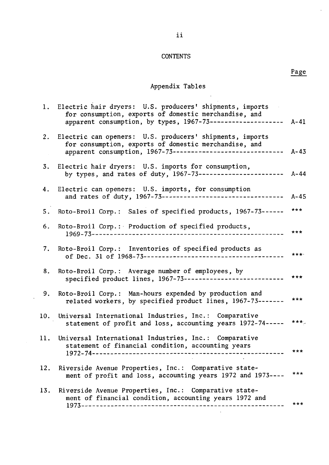# CONTENTS

# Appendix Tables

|     | 1. Electric hair dryers: U.S. producers' shipments, imports<br>for consumption, exports of domestic merchandise, and<br>apparent consumption, by types, 1967-73-------------------- | $A - 41$ |
|-----|-------------------------------------------------------------------------------------------------------------------------------------------------------------------------------------|----------|
| 2.  | Electric can openers: U.S. producers' shipments, imports<br>for consumption, exports of domestic merchandise, and<br>apparent consumption, 1967-73-------------------------------   | $A - 43$ |
| 3.  | Electric hair dryers: U.S. imports for consumption,<br>by types, and rates of duty, 1967-73------------------------                                                                 | $A - 44$ |
| 4.  | Electric can openers: U.S. imports, for consumption                                                                                                                                 | $A-45$   |
| 5.  | Roto-Broil Corp.: Sales of specified products, 1967-73------                                                                                                                        | $****$   |
| 6.  | Roto-Broil Corp.: Production of specified products,<br>$1969 - 73 - - - - - - - - - -$                                                                                              | ***      |
| 7.  | Roto-Broil Corp.: Inventories of specified products as<br>of Dec. 31 of 1968-73----------------------------                                                                         | ****     |
| 8.  | Roto-Broil Corp.: Average number of employees, by<br>specified product lines, 1967-73------------------------                                                                       | ***      |
| 9.  | Roto-Broil Corp.: Man-hours expended by production and<br>related workers, by specified product lines, 1967-73-------                                                               | ***      |
|     | 10. Universal International Industries, Inc.: Comparative<br>statement of profit and loss, accounting years 1972-74-----                                                            | ***      |
| 11. | Universal International Industries, Inc.: Comparative<br>statement of financial condition, accounting years<br>1972-74----------------------                                        | ***      |
| 12. | Riverside Avenue Properties, Inc.: Comparative state-<br>ment of profit and loss, accounting years 1972 and 1973----                                                                | ***      |
| 13. | Riverside Avenue Properties, Inc.: Comparative state-<br>ment of financial condition, accounting years 1972 and                                                                     | ***      |

 $\ddot{\phantom{a}}$ 

 $\ddot{\phantom{0}}$ 

Page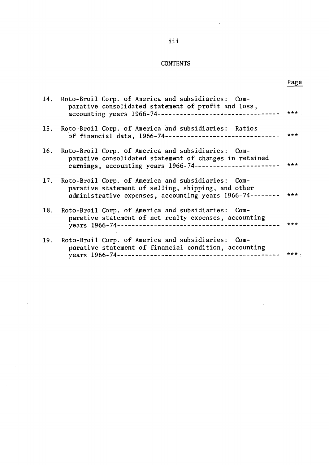# **CONTENTS**

 $\sim$   $\sim$ 

| 14. Roto-Broil Corp. of America and subsidiaries: Com-<br>parative consolidated statement of profit and loss,                                                                 |        |
|-------------------------------------------------------------------------------------------------------------------------------------------------------------------------------|--------|
| 15. Roto-Broil Corp. of America and subsidiaries: Ratios<br>of financial data, 1966-74------------------------------- ***                                                     |        |
| 16. Roto-Broil Corp. of America and subsidiaries: Com-<br>parative consolidated statement of changes in retained<br>earnings, accounting years 1966-74----------------------- | ***    |
| 17. Roto-Broil Corp. of America and subsidiaries: Com-<br>parative statement of selling, shipping, and other<br>administrative expenses, accounting years 1966-74--------     | ***    |
| 18. Roto-Broil Corp. of America and subsidiaries: Com-<br>parative statement of net realty expenses, accounting                                                               |        |
| 19. Roto-Broil Corp. of America and subsidiaries: Com-<br>parative statement of financial condition, accounting                                                               | $***.$ |

 $\sim$ 

 $\sim 10^{-1}$ 

 $\sim 10^{-11}$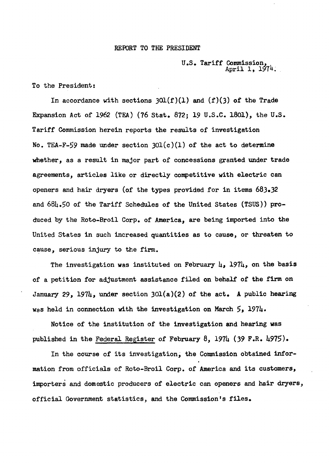#### REPORT TO THE PRESIDENT

U.S. Tariff Commission, April 1, 1974.

#### To the President:

In accordance with sections  $301(f)(1)$  and  $(f)(3)$  of the Trade Expansion Act of 1962 (TEA) (76 Stat. 872; 19 u.s.c. 1801), the U.S. Tariff Commission herein reports the results of investigation No. TEA-F-59 made under section  $301(c)(1)$  of the act to determine whether, as a result in major part of concessions granted under trade agreements, articles like or directly competitive with electric can openers and hair dryers (of the types provided for in items 683.32 and 684.50 of the Tariff Schedules of the United States (TSUS)) produced by the Roto-Broil Corp. of America, are being imported into the United States in such increased quantities as to cause, or threaten to cause, serious injury to the firm.

The investigation was instituted on February  $\mu$ , 197 $\mu$ , on the basis of a petition for adjustment assistance filed on behalf of the firm on January *29,* 1974, under section 30l(a)(2) of the act. A public hearing was held in connection with the investigation on March *S,* 1974.

Notice of the institution of the investigation and hearing was published in the Federal Register of February *B,* 1974 *(39* F.R. 4975).

In the course of its investigation; the Commission obtained information from officials of Roto-Broil Corp. of America and its customers, importers and domestic producers of electric can openers and hair dryers, official Government statistics, and the Commission's files.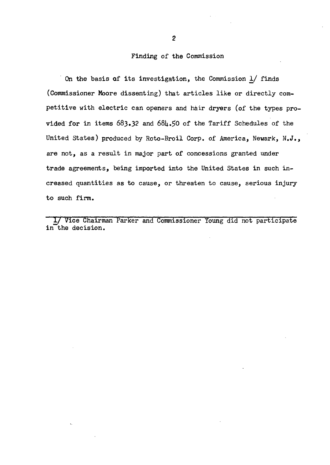## Finding of the Commission

On the basis of its investigation, the Commission 1/ finds (Commissioner Moore dissenting) that articles like or directly competitive with electric can openers and hair dryers (of the types provided for in items 683.32 and 684.50 of the Tariff Schedules of the United States) produced by Roto-Broil Corp. of America, Newark, *N.J.,*  are *not,* as a result in major part of concessions granted under trade agreements, being imported into the United States in such increased quantities as to cause, or threaten to cause, serious injury to such firm.

1/ Vice Chairman Parker and Commissioner Young did not participate in the decision.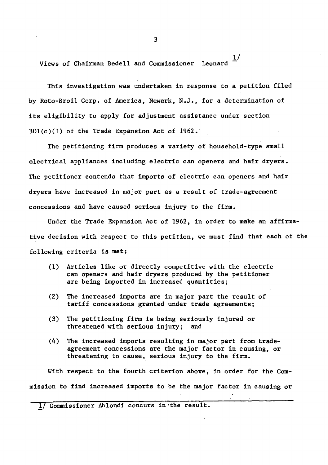Views of Chairman Bedell and Commissioner Leonard  $\frac{1}{2}$ 

This investigation was undertaken in response to a petition filed by Roto-Broil Corp. of America, Newark, N.J., for a determination of its eligibility to apply for adjustment assistance under section  $301(c)(1)$  of the Trade Expansion Act of 1962.

The petitioning firm produces a variety of household-type small electrical appliances including electric can openers and hair dryers. The petitioner contends that imports of electric can openers and hair dryers have increased in major part as a result of trade-agreement concessions and have caused serious injury to the firm.

Under the Trade Expansion Act of 1962, in order to make an affirmative decision with respect to this petition, we must find that each of the following criteria is met:

- (1) Articles like or directly competitive with the electric can openers and hair dryers produced by the petitioner are being imported in increased quantities;
- (2) The increased imports are in major part the result of tariff concessions granted under trade agreements;
- (3) The petitioning firm is being seriously injured or threatened with serious injury; and
- (4) The increased imports resulting in major part from tradeagreement concessions are the major factor in causing, or threatening to cause, serious injury to the firm.

With respect to the fourth criterion above, in order for the Commission to find increased imports to be the major factor in causing or

1/ Commissioner Ablondi concurs in the result.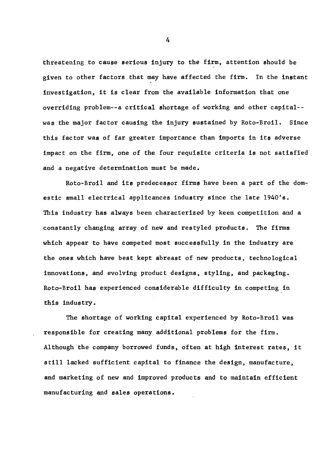threatening to cause serious injury to the firm, attention should be given to other factors that may have affected the firm. In the instant investigation, it is clear from the available information that one overriding problem--a critical shortage of working and other capital- was the major factor causing the injury sustained by Roto-Broil. Since this factor was of far greater importance than imports in its adverse impact on the firm, one of the four requisite criteria is not satisfied and a negative determination must be made.

Rota-Broil and its predecessor firms have been a part of the domestic small electrical applicances industry since the late 1940's. This industry has always been characterized by keen competition and a constantly changing array of new and restyled products. The firms which appear to have competed most successfully in the industry are the ones which have best kept abreast of new products, technological innovations, and evolving product designs, styling, and packaging. Roto-Broil has experienced considerable difficulty in competing in this industry.

The shortage of working capital experienced by Roto-Broil was responsible for creating many additional problems for the firm. Although the company borrowed funds, often at high interest rates, it still lacked sufficient capital to finance the design, manufacture, and marketing of new and improved products and to maintain efficient manufacturing and sales operations.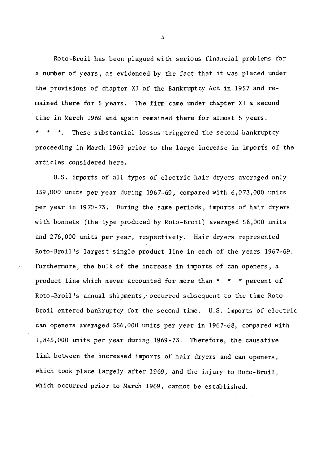Roto-Broil has been plagued with serious financial problems for a number of years, as evidenced by the fact that it was placed under the provisions of chapter XI of the Bankruptcy Act in 1957 and remained there for 5 years. The firm came under chapter XI a second time in March 1969 and again remained there for almost 5 years. \*. These substantial losses triggered the second bankruptcy proceeding in March 1969 prior to the large increase in imports of the articles considered here.

U.S. imports of all types of electric hair dryers averaged only 159,000 units per year during 1967-69, compared with 6,073,000 units per year in 1970-73. During the same periods, imports of hair dryers with bonnets (the type produced by Roto-Broil) averaged 58,000 units and 276,000 units per year, respectively. Hair dryers represented Roto-Broil 's largest single product line in each of the years 1967-69. Furthermore, the bulk of the increase in imports of can openers, a product line which never accounted for more than \* \* \* percent of Roto-Broil 's annual shipments, occurred subsequent to the time Roto-Broil entered bankruptcy for the second time. U.S. imports of electric can openers averaged 556,000 units per year in 1967-68, compared with 1,845,000 units per year during 1969-73. Therefore, the causative link between the increased imports of hair dryers and can openers, which took place largely after 1969, and the injury to Roto-Broil, which occurred prior to March 1969, cannot be established.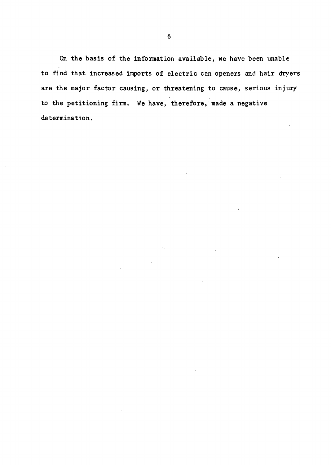On the basis of the information available, we have been unable to find that increased imports of electric can openers and hair dryers are the major factor causing, or threatening to cause, serious injury to the petitioning firm. We have, therefore, made a negative determination.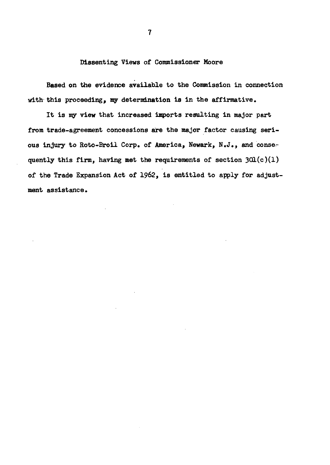## Dissenting Views of Commissioner Moore

Based on the evidence available to the Commission in connection with this proceeding, my determination is in the affirmative.

It is my view that increased imports resulting in major part from trade-agreement concessions are the major factor causing serious injury to Roto-Broil Corp. of America, Newark, N.J., and consequently this firm, having met the requirements of section  $301(c)(1)$ of the Trade Expansion Act of 1962, is entitled to apply for adjustment assistance.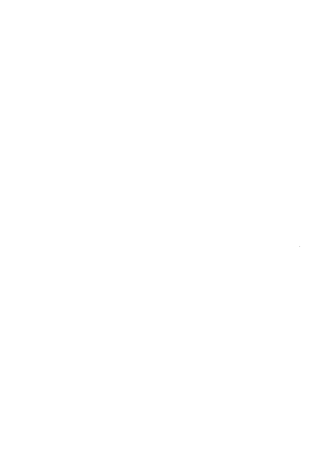$\sim 10^{-10}$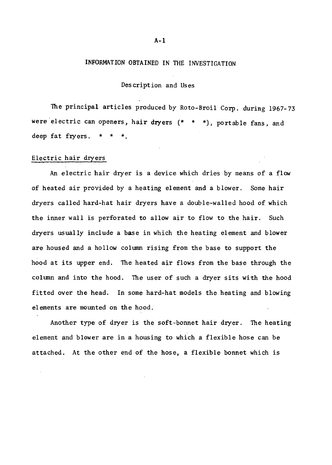## INFORMATION OBTAINED IN THE INVESTIGATION

Description and Uses

1he principal articles produced by Roto-Broil Corp. during 1967-73 were electric can openers, hair dryers (\* \* *\*),* portable fans, and deep fat fryers. \*

#### Electric hair dryers

An electric hair dryer is a device which dries by means of a flow of heated air provided by a heating element and a blower. Some hair dryers called hard-hat hair dryers have a double-walled hood of which the inner wall is perforated to allow air to flow to the hair. Such dryers usually include a base in which the heating element and blower are housed and a hollow column rising from the base to support the hood at its upper end. The heated air flows from the base through the column and into the hood. The user of such a dryer sits with the hood fitted over the head. In some hard-hat models the heating and blowing elements are mounted on the hood.

Another type of dryer is the soft-bonnet hair dryer. The heating element and blower are in a housing to which a flexible hose can be attached. At the other end of the hose, a flexible bonnet which is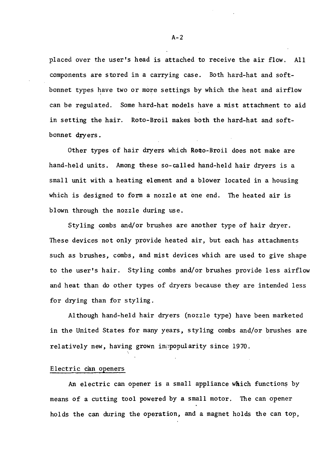placed over the user's head is attached to receive the air flow. All components are stored in a carrying case. Both hard-hat and softbonnet types have two or more settings by which the heat and airflow can be regulated. Some hard-hat models have a mist attachment to aid in setting the hair. Roto-Broil makes both the hard-hat and softbonnet dryers.

Other types of hair dryers which Roto-Broil does not make are hand-held units. Among these so-called hand-held hair dryers is a small unit with a heating element and a blower located in a housing which is designed to form a nozzle at one end. The heated air is blown through the nozzle during use.

Styling combs and/or brushes are another type of hair dryer. These devices not only provide heated air, but each has attachments such as brushes, combs, and mist devices which are used to give shape to the user's hair. Styling combs and/or brushes provide less airflow and heat than do other types of dryers because they are intended less for drying than for styling.

Although hand-held hair dryers (nozzle type) have been marketed in the United States for many years, styling combs and/or brushes are relatively new, having grown inppopularity since 1970.

#### Electric can openers

An electric can opener is a small appliance which functions by means of a cutting tool powered by a small motor. The can opener holds the can during the operation, and a magnet holds the can top,

 $A-2$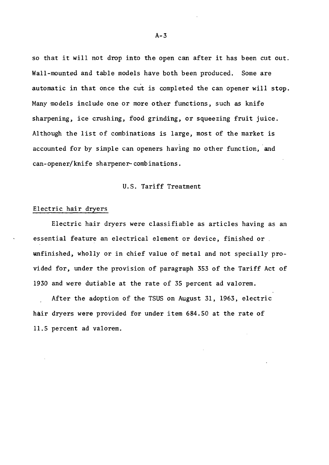so that it will not drop into the open can after it has been cut out. Wall-mounted and table models have both been produced. Some are automatic in that once the cut is completed the can opener will stop. Many models include one or more other functions, such as knife sharpening, ice crushing, food grinding, or squeezing fruit juice. Although the list of combinations is large, most of the market is accounted for by simple can openers having no other function, and can-opener/knife sharpener-combinations.

## U.S. Tariff Treatment

#### Electric hair dryers

Electric hair dryers were classifiable as articles having as an essential feature an electrical element or device, finished or unfinished, wholly or in chief value of metal and not specially provided for, under the provision of paragraph 353 of the Tariff Act of 1930 and were dutiable at the rate of 35 percent ad valorem.

After the adoption of the TSUS on August 31, 1963, electric hair dryers were provided for under item 684.50 at the rate of 11.5 percent ad valorem.

 $A - 3$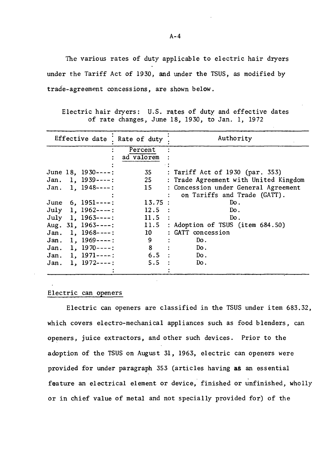The various rates of duty applicable to electric hair dryers under the Tariff Act of 1930, and under the TSUS, as modified by trade-agreement concessions, are shown below.

Electric hair dryers: U.S. rates of duty and effective dates of rate changes, June 18, 1930, to Jan. 1, 1972

| Effective date : Rate of duty |  |                                                                                                                  |                                | Authority                                                                                                        |
|-------------------------------|--|------------------------------------------------------------------------------------------------------------------|--------------------------------|------------------------------------------------------------------------------------------------------------------|
|                               |  |                                                                                                                  | Percent<br>ad valorem          |                                                                                                                  |
|                               |  | June 18, 1930----:<br>Jan. 1, $1939---$ :<br>Jan. 1, $1948---$ :                                                 | 35<br>25<br>15                 | : Tariff Act of 1930 (par. 353)<br>: Trade Agreement with United Kingdom<br>: Concession under General Agreement |
|                               |  | June 6, 1951----:<br>July 1, 1962----:<br>July 1, $1963---$ :                                                    | 13.75:<br>$12.5$ :<br>$11.5$ : | on Tariffs and Trade (GATT).<br>Do.<br>Do.<br>Do.                                                                |
|                               |  | Aug. $31, 1963---$ :<br>Jan. 1, $1968---$ :<br>Jan. 1, $1969---$ :<br>Jan. 1, $1970---$ :<br>Jan. 1, $1971---$ : | 10<br>$9 \qquad \qquad$<br>8   | 11.5 : Adoption of TSUS (item 684.50)<br>: GATT concession<br>Do.<br>Do.<br>$6.5$ :<br>Do.                       |
|                               |  | Jan. 1, $1972---$ :                                                                                              | 5.5 :                          | Do.                                                                                                              |

#### Electric can openers

Electric can openers are classified in the TSUS under item 683.32, which covers electro-mechanical appliances such as food blenders, can openers, juice extractors, and other such devices. Prior to the adoption of the TSUS on August 31, 1963, electric can openers were provided for under paragraph 353 (articles having as an essential feature an electrical element or device, finished or unfinished, wholly or in chief value of metal and not specially provided for) of the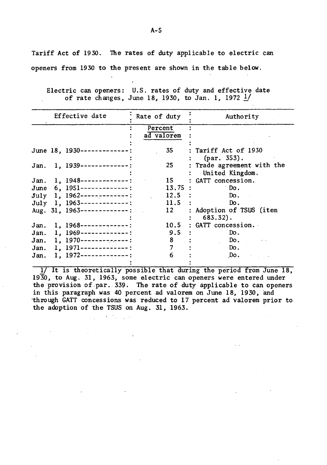Tariff Act of 1930. The rates of duty applicable to electric can openers from 1930 to the present are shown in the table below.

Electric can openers: U.S. rates of duty and effective date of rate changes, June 18, 1930, to Jan. 1, 1972  $\frac{1}{2}$ 

|      | Effective date                  | Rate of duty      |             | Authority                  |
|------|---------------------------------|-------------------|-------------|----------------------------|
|      |                                 | Percent           |             |                            |
|      |                                 | ad valorem        |             |                            |
|      |                                 |                   |             |                            |
|      | June 18, 1930--------------:    |                   | 35          | : Tariff Act of 1930       |
|      |                                 |                   |             | $\frac{1}{2}$ (par. 353).  |
|      | Jan. 1, $1939$ --------------:  |                   | 25          | : Trade agreement with the |
|      |                                 |                   |             | United Kingdom.            |
|      | Jan. 1, $1948$ --------------:  |                   | 15          | : GATT concession.         |
|      | June $6, 1951$ -------------:   |                   | 13.75:      | Do.                        |
|      | $July 1, 1962-----$             | <b>Contractor</b> | $12.5$ :    | Do.                        |
|      | July 1, $1963$ --------------:  |                   | $11.5$ :    | Do.                        |
|      | Aug. 31, $1963$ --------------: |                   | 12          | : Adoption of TSUS (item   |
|      |                                 |                   |             | $683.32$ .                 |
| Jan. | $1, 1968$ -------------:        |                   | 10.5        | : GATT concession.         |
|      | Jan. 1, 1969--------------:     |                   | 9.5 :       | Do.                        |
|      | Jan. 1, 1970--------------:     |                   | 8:          | $Do.$ $\cdots$             |
|      | Jan. 1, 1971---------------     |                   | $7$ and $7$ | Do.                        |
| Jan. | $1, 1972$ --------------:       |                   | 6           | Do.                        |
|      |                                 |                   |             |                            |

1/ It is theoretically possible that during the period from June 18, 1930, to Aug. 31, 1963, some electric can openers were entered under the provision of par. 339. The rate of duty applicable to can openers in this paragraph was 40 percent ad valorem on June 18, 1930, and ·through GATT concessions was reduced to 17 percent ad valorem prior to the adoption of the TSUS on Aug. 31, 1963.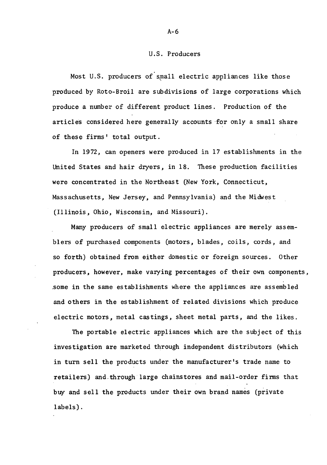#### U.S. Producers

Most U.S. producers of small electric appliances like those produced by Rote-Broil are subdivisions of large corporations which produce a number of different product lines. Production of the articles considered here generally accounts ·for only a small share of these firms' total output.

In 1972, can openers were produced in 17 establishments in the United States and hair dryers, in 18. 'Ihese production facilities were concentrated in the Northeast (New *York,* Connecticut, Massachusetts, New Jersey, and Pennsylvania) and the Midwest (Illinois, Ohio, Wisconsin, and Missouri).

Many producers of small electric appliances are merely assemblers of purchased components (motors, blades, coils, cords, and so forth) obtained from either domestic or foreign sources. Other producers, however, make varying percentages of their own components, .some in the same establishments where the appliances are assembled and others in the establishment of related divisions which produce electric motors, metal castings, sheet metal parts, and the likes.

The portable electric appliances which are the subject of this investigation are marketed through independent distributors (which in turn sell the products under the manufacturer's trade name to retailers) and through large chains tores and mail-order firms that buy and sell the products under their own brand names (private labels).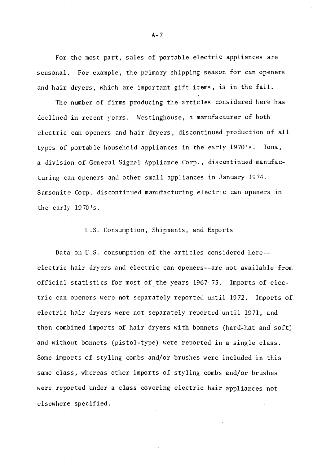For the most part, sales of portable electric appliances are seasonal. For example, the primary shipping season for can openers and hair dryers, which are important gift items, is in the fall.

The number of firms producing the articles considered here has declined in recent years. Westinghouse, a manufacturer of both electric can openers and hair dryers, discontinued production of all types of portable household appliances in the early 1970's. Iona, a division of General Signal Appliance Corp., discontinued manufacturing can openers and other small appliances in January 1974. Samsonite Corp. discontinued manufacturing electric can openers in the early 19 70 's.

## U.S. Consumption, Shipments, and Exports

Data on U.S. consumption of the articles considered here- electric hair dryers and electric can openers--are not available from official statistics for most of the years 1967-73. Imports of electric can openers were not separately reported until 1972. Imports of electric hair dryers were not separately reported until 1971, and then combined imports of hair dryers with bonnets (hard-hat and soft) and without bonnets (pistol-type) were reported in a single class. Some imports of styling combs and/or brushes were included in this same class, whereas other imports of styling combs and/or brushes were reported under a class covering electric hair appliances not elsewhere specified.

 $A-7$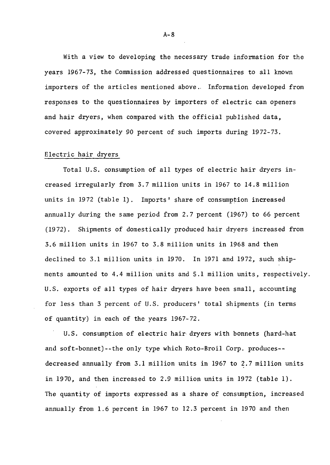With a view to developing the necessary trade information for the years 1967-73, the Commission addressed questionnaires to all known importers of the articles mentioned above .. Information developed from responses to the questionnaires by importers of electric can openers and hair dryers, when compared with the official published data, covered approximately 90 percent of such imports during 1972-73.

## Electric hair dryers

Total U.S. consumption of all types of electric hair dryers increased irregularly from 3.7 million units in 1967 to 14.8 million units in 1972 (table 1). Imports' share of consumption increased annually during the same period from 2.7 percent (1967) to 66 percent (1972). Shipments of domestically produced hair dryers increased from 3.6 million units in 1967 to 3.8 million units in 1968 and then declined to 3.1 million units in 1970. In 1971 and 1972, such shipments amounted to 4.4 million units and 5.1 million units, respectively. U.S. exports of all types of hair dryers have been small, accounting for less than 3 percent of U.S. producers' total shipments (in terms of quantity) in each of the years 1967-72.

U.S. consumption of electric hair dryers with bonnets (hard-hat and soft-bonnet)--the only type which Roto-Broil Corp. produces- decreased annually from 3.1 million units in 1967 to 2.7 million units in 1970, and then increased to 2.9 million units in 1972 (table 1). The quantity of imports expressed as a share of consumption, increased annually from 1.6 percent in 1967 to 12.3 percent in 1970 and then

 $A - R$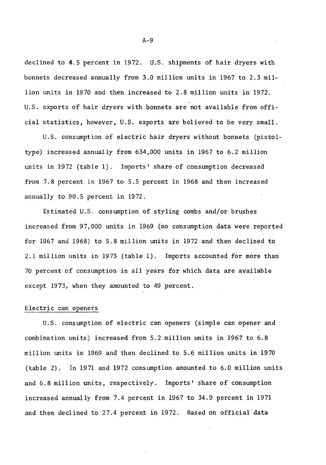declined to 4.5 percent in 1972. U.S. shipments of hair-dryers with bonnets decreased annually from 3.0 million units in 1967 to 2.3 million units in 1970 and then increased to 2.8 million units in 1972. U.S. exports of hair dryers with bonnets are not available from.official statistics, however, U.S. exports are believed to be very small.

U.S. consumption of electric hair dryers without bonnets (pistoltype) increased annually from 634,000 units in 1967 to 6.2 million units in 1972 (table 1). Imports' share of consumption decreased from 7.8 percent in 1967 to 5.5 percent in 1968 and then increased annually to 90.5 percent in 1972.

Estimated U.S. consumption of styling combs and/or brushes increased from 97,000 units in 1969 (no consumption data were reported for 1967 and 1968) to 5.8 million units in 1972 and then declined to 2.1 million units in 1973 (table 1). Imports accounted for more than 70 percent of consumption in all years for which data are available except 1973, when they amounted to 49 percent.

## Electric can openers

U.S. consumption of electric can openers (simple can opener and combination units) increased from 5.2 million units in 1967 to 6.8 million units in 1969 and then declined to 5.6 million units in 1970 (table 2). In 1971 and 1972 consumption amounted to 6.0 million units and 6.8 million units, respectively. Imports' share of consumption increased annually from 7.4 percent in 1967 to 34.9 percent in 1971 and then declined to 27.4 percent in 1972. Based on official data

A-9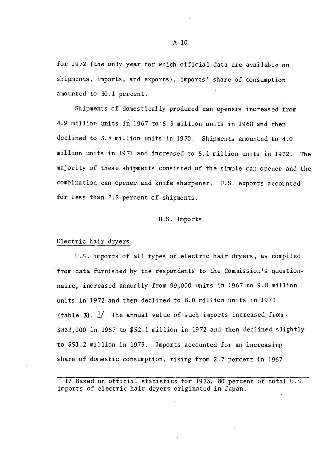for 1972 (the only year for which official data are available on shipments, imports, and exports), imports' share of consumption amounted to 30.1 percent.

Shipments of domestically produced can openers increased from 4.9 million units in 1967 to 5.3 million units in 1968 and then declined to 3.8 million units in 1970. Shipments amounted to 4.0 million units in 1971 and increased to 5.1 million units in 1972. The majority of these shipments consisted of the simple can opener and the combination can opener and knife sharpener. U.S. exports accounted for less than 2.5 percent of shipments.

#### U.S. Imports

#### Electric hair dryers

U.S. imports of all types of electric hair dryers, as compiled from data furnished by the respondents to the Commission's questionnaire, increased annually from 99,000 units in 1967 to 9.8 million units in 1972 and then declined to 8.0 million units in 1973 (table 3).  $\frac{1}{2}$  The annual value of such imports increased from. \$833,000 in 1967 to \$52.l million in 1972 and then declined slightly to \$51.2 million in 1973. Imports accounted for an increasing share of domestic consumption, rising from 2.7 percent in 1967

1/ Based on official statistics for 1973, 80 percent of total U.S. imports of electric hair dryers originated in Japan.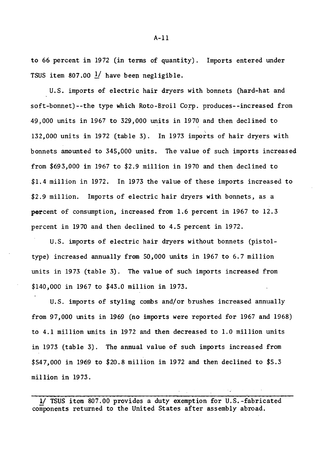to 66 percent in 1972 (in terms of quantity). Imports entered under TSUS item 807.00  $\frac{1}{2}$  have been negligible.

U.S. imports of electric hair dryers with bonnets (hard-hat and soft-bonnet)--the type which Roto-Broil Corp. produces--increased from 49,000 units in 1967 to 329,000 units in 1970 and then declined to 132,000 units in 1972 (table 3). In 1973 imports of hair dryers with bonnets amounted to 345,000 units. The value of such imports increased from \$693,000 in 1967 to \$2.9 million in 1970 and then declined to \$1.4 million in 1972. In 1973 the value of these imports increased to \$2.9 million. Imports of electric hair dryers with bonnets, as a percent of consumption, increased from 1.6 percent in 1967 to 12.3 percent in 1970 and then declined to 4.5 percent in 1972.

U.S. imports of electric hair dryers without bonnets (pistoltype) increased annually from *50,000* units in 1967 to 6.7 million units in 1973 (table 3). The value of such imports increased from \$140,000 in 1967 to \$43.0 million in 1973.

U.S. imports of styling combs and/or brushes increased annually from *97,000* units in 1969 (no imports were reported for 1967 and 1968) to 4.1 million units in 1972 and then decreased to 1.0 million units in 1973 (table 3). The annual value of such imports increased from \$547,000 in 1969 to \$20.8 million in 1972 and then declined to \$5.3 million in 1973.

l/ TSUS item 807.00 provides a duty exemption for U.S.-fabricated components returned to the United States after assembly abroad.

A-11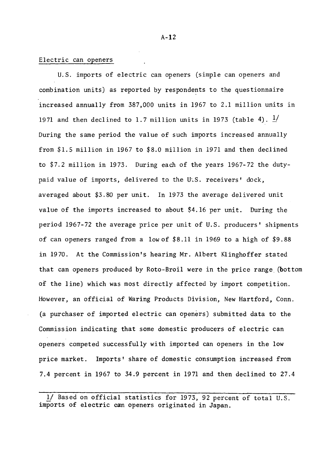A-12

#### Electric can openers

U.S. imports of electric can openers (simple can openers and combination units) as reported by respondents to the questionnaire increased annually from *387,000* units in 1967 to 2.1 million units in 1971 and then declined to 1.7 million units in 1973 (table 4).  $\frac{1}{2}$ During the same period the value of such imports increased annually from \$1.5 million in 1967 to \$8.0 million in 1971 and then declined to \$7.2 million in 1973. During each of the years 1967-72 the dutypaid value of imports, delivered to the U.S. receivers' dock, averaged about \$3.80 per unit. In 1973 the average delivered unit value of the imports increased to about \$4.16 per unit. During the period 1967-72 the average price per unit of U.S. producers' shipments of can openers ranged from a lowof \$8.11 in 1969 to a high of \$9.88 in 1970. At the Commission's hearing Mr. Albert Klinghoffer stated that can openers produced by Roto-Broil were in the price range. (bottom of the line) which was most directly affected by import competition. However, an official of Waring Products Division, New Hartford, Conn. (a purchaser of imported electric can openers) submitted data to the Commission indicating that some domestic producers of electric can openers competed successfully with imported can openers in the low price market. Imports' share of domestic consumption increased from 7.4 percent in 1967 to 34.9 percent in 1971 and then declined to 27.4

<sup>1/</sup> Based on official statistics for 1973, 92 percent of total U.S. imports of electric can openers originated in Japan.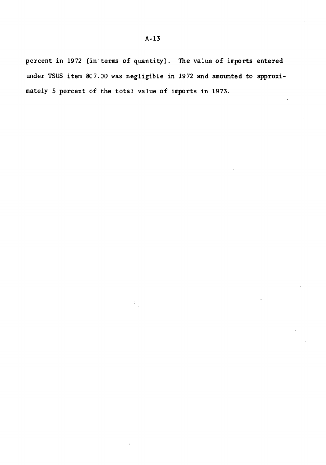percent in 1972 (in terms of quantity). The value of imports entered under TSUS item 807.00 was negligible in 1972 and amounted to approximately 5 percent of the total value of imports in 1973.

 $\begin{array}{c} \begin{array}{c} \begin{array}{c} \end{array} \\ \begin{array}{c} \end{array} \\ \begin{array}{c} \end{array} \end{array} \end{array}$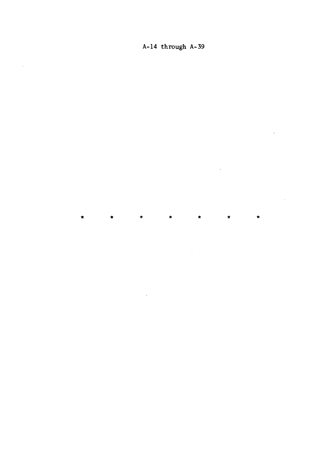A-14 through A-39

 $\mathcal{L}_{\text{max}}$ 









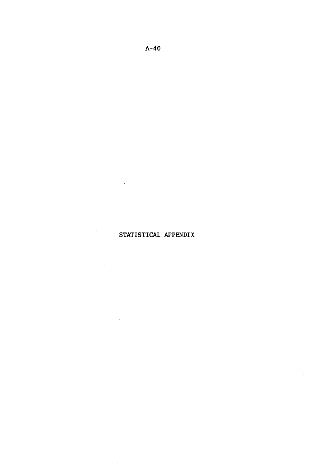# STATISTICAL APPENDIX

×,

 $\mathcal{L}(\mathcal{A})$  and  $\mathcal{L}(\mathcal{A})$  .

 $\mathcal{L}^{\text{max}}_{\text{max}}$  ,  $\mathcal{L}^{\text{max}}_{\text{max}}$ 

 $\sim 10^{-10}$ 

 $\omega$  .

A-40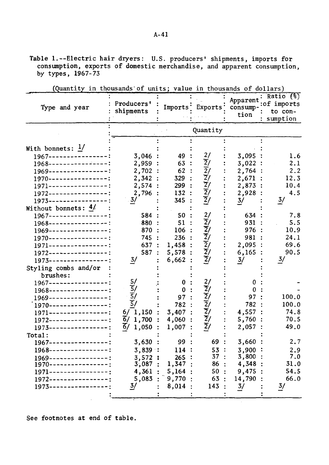Table 1.--Electric hair dryers: U.S. producers' shipments, imports for consumption, exports of domestic merchandise, and apparent consumption, by types, 1967-73

| Type and year                                                                                                                                                                                                              | Producers'<br>shipments                                                             |                                                   | Imports: Exports                                                                          | Apparent<br>consump-<br>tion                        | Ratio $(*)$<br>of imports:<br>to con-<br>sumption |
|----------------------------------------------------------------------------------------------------------------------------------------------------------------------------------------------------------------------------|-------------------------------------------------------------------------------------|---------------------------------------------------|-------------------------------------------------------------------------------------------|-----------------------------------------------------|---------------------------------------------------|
|                                                                                                                                                                                                                            |                                                                                     |                                                   | Quantity                                                                                  |                                                     |                                                   |
| With bonnets: $\frac{1}{ }$<br>$1967$ ----------------<br>$1968$ ----------------:<br>1969-----------------:<br>$1970---------------$<br>1971---------------                                                               | 3,046<br>2,959<br>2,702<br>2,342<br>2,574                                           | 49<br>63<br>62<br>329<br>299                      | $\frac{2}{ }$<br>$\overline{2}/$<br>$\overline{2}/$<br>$\overline{2}/$<br>$\overline{z}/$ | $3,095$ :<br>3,022<br>2,764<br>2,671:<br>2,873      | 1.6<br>2.1<br>2.2<br>12.3<br>10.4                 |
| $1972$ -------------<br>$1973 - - - - - - - - - - - -$                                                                                                                                                                     | 2,796<br>3/                                                                         | 132<br>345                                        | $\overline{2}/$<br>$\overline{2}/$                                                        | 2,928<br>3/                                         | 4.5<br>3/                                         |
| Without bonnets: $\frac{4}{3}$<br>$1967$ ----------------:<br>$1968$ ----------------:<br>$1969$ ----------------:<br>$1970------------$<br>1971-----------------<br>$1972$ --------------<br>$1973 - - - - - - - - - - -$ | 584 -<br>880<br>$\ddot{\phantom{1}}$<br>870<br>$\cdot$ :<br>745<br>637<br>587<br>3/ | 50<br>51<br>106<br>236<br>1,458<br>5,578<br>6,662 | 2/<br>$\overline{2}/$<br>21<br>$\overline{2}/$<br>$\overline{2}/$<br>2/<br>21             | 634<br>931 :<br>976<br>981<br>2,095<br>6,165<br>3/  | 7.8<br>5.5<br>10.9<br>24.1<br>69.6<br>90.5<br>3/  |
| Styling combs and/or<br>brushes:<br>1967-----------------:<br>$1968$ ----------------:<br>1969----------------<br>$1970------------$ :<br>1971----------------:<br>$1972$ ---------------<br>$1973$ -----------------      | 5/<br>5/<br>57<br>1,150<br>6/<br>1,700:<br>6/<br>6/<br>1,050:                       | 0<br>0<br>97<br>782<br>3,407<br>4,060<br>1,007    | 2/<br>2/<br>Z/<br>$\overline{2}/$<br>7/<br>2/<br>7/                                       | 97<br>782<br>4,557<br>5,760<br>2,057                | 100.0<br>100.0<br>74.8<br>70.5<br>49.0            |
| Total:<br>$1967$ ----------------:<br>$1968 - - - - - - - - - - - - - -$<br>$1969$ -----------------<br>1970--------------<br>$1972$ --------------                                                                        | 3,630<br>3,839<br>3,572<br>3,087<br>4,361<br>5,083<br>$\cdot$ :                     | 99<br>114<br>265<br>1,347<br>5,164<br>9,770       | 69<br>53<br>37:<br>86:<br>50:<br>63<br>143                                                | 3,660<br>3,900<br>3,800<br>4,348<br>9,475<br>14,790 | 2.7<br>2.9<br>7.0<br>31.0<br>54.5<br>66.0         |
| 1973-------------                                                                                                                                                                                                          | $\frac{3}{ }$                                                                       | 8,014                                             |                                                                                           | 3/                                                  | 3/                                                |

(Quantity in thousands of units; value in thousands of dollars)

See footnotes at end of table.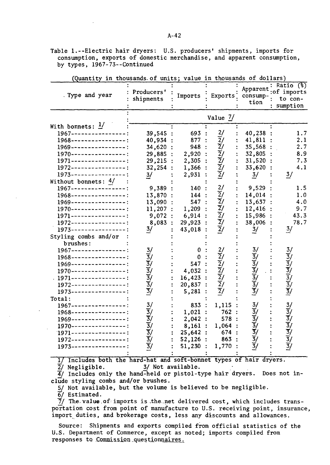Table !.--Electric hair dryers: U.S. producers' shipments, imports for consumption, exports of domestic merchandise, and apparent consumption, by types, 1967-73--Continued

| . Type and year                        | Producers'<br>shipments | Imports                       | Exports:                                                                                         | Apparent<br>consump-<br>tion                                                                                    | Ratio (%)<br>:of imports<br>to con-<br>sumption                                     |
|----------------------------------------|-------------------------|-------------------------------|--------------------------------------------------------------------------------------------------|-----------------------------------------------------------------------------------------------------------------|-------------------------------------------------------------------------------------|
|                                        |                         |                               | Value $7/$                                                                                       |                                                                                                                 |                                                                                     |
| With bonnets: $\frac{1}{2}$            |                         |                               |                                                                                                  |                                                                                                                 |                                                                                     |
| $1967 - - - - - - - - - -$             | 39,545                  | 693                           | $\frac{2}{2}$                                                                                    | 40,238                                                                                                          | 1.7                                                                                 |
| 1968-----------------                  | 40,934                  | 877                           |                                                                                                  | 41,811                                                                                                          | 2.1                                                                                 |
| 1969-----------------:                 | 34,620                  | 948                           | $\frac{1}{2}$ $\frac{1}{2}$ $\frac{1}{2}$ $\frac{1}{2}$ $\frac{1}{2}$ $\frac{1}{2}$<br>$\cdot$ : | 35,568                                                                                                          | 2.7                                                                                 |
| $1970---------------$                  | 29,885                  | 2,920                         | $\ddot{\phantom{1}}$                                                                             | 32,805                                                                                                          | 8.9                                                                                 |
| 1971--------------                     | 29,215                  | 2,305<br>$\ddot{\phantom{1}}$ |                                                                                                  | 31,520                                                                                                          | 7.3                                                                                 |
| $1972$ --------------                  | 32,254                  | 1,366 :                       |                                                                                                  | 33,620                                                                                                          | 4.1                                                                                 |
| $1973 - - - - - - - - -$               | 3/                      | 2,931                         |                                                                                                  | 3/                                                                                                              | 3/                                                                                  |
| Without bonnets: $\frac{4}{ }$         |                         |                               |                                                                                                  |                                                                                                                 |                                                                                     |
|                                        | 9,389                   | 140                           | $\frac{2}{2}$                                                                                    | 9,529                                                                                                           | 1.5                                                                                 |
| $1968$ ----------------                | 13,870                  | 144                           |                                                                                                  | 14,014                                                                                                          | 1.0                                                                                 |
| $1969$ ---------------                 | 13,090                  | 547                           | $\overline{2}/$                                                                                  | 13,637                                                                                                          | 4.0                                                                                 |
| $1970$ --------------                  | 11,207                  | 1,209                         | $\frac{\overline{2}}{\overline{2}}$ /                                                            | 12,416                                                                                                          | 9.7                                                                                 |
| $1971$ ------------                    | 9,072                   | 6,914                         |                                                                                                  | 15,986                                                                                                          | 43.3                                                                                |
| $1972 - - - - - - - - - - - -$         | 8,083                   | 29,923                        | $\frac{\overline{2}}{\overline{2}}$ /<br>$\cdot$ :                                               | 38,006                                                                                                          | 78.7                                                                                |
| $1973 - - - - - - -$                   | 3/                      | 43,018                        |                                                                                                  | 3/                                                                                                              | $\frac{3}{ }$                                                                       |
| Styling combs and/or                   |                         |                               |                                                                                                  |                                                                                                                 |                                                                                     |
| brushes:                               |                         |                               |                                                                                                  |                                                                                                                 |                                                                                     |
| 1967-----------------                  | 3/                      | 0                             | $\frac{2}{}{2}$                                                                                  | $\frac{3}{2}$                                                                                                   | 3/                                                                                  |
| 1968----------------                   | $\overline{3}$ /        | 0                             |                                                                                                  |                                                                                                                 | $\overline{3}/$                                                                     |
| $1969$ ----------------:               | $\overline{3}/$         | 547                           | $\overline{2}/$                                                                                  |                                                                                                                 |                                                                                     |
| 1970----------------                   | $\overline{3}/$         | 4,032                         | $\frac{\overline{2}}{2\overline{2}}$ / $\frac{\overline{2}}{2\overline{2}}$ /                    |                                                                                                                 |                                                                                     |
| $.1971$ ---------------                | $\overline{3}/$         | 16,423                        | $\cdot$ :                                                                                        |                                                                                                                 |                                                                                     |
| $1972$ --------------                  | $\overline{3}/$         | 20,837                        | $\ddot{\cdot}$                                                                                   | $\frac{1}{3}$ $\frac{1}{3}$ $\frac{1}{3}$ $\frac{1}{3}$ $\frac{1}{3}$ $\frac{1}{3}$ $\frac{1}{3}$ $\frac{1}{3}$ | $\frac{1}{3}$ $\frac{1}{3}$ $\frac{1}{3}$ $\frac{1}{3}$ $\frac{1}{3}$ $\frac{1}{3}$ |
| $1973 - - - - - - - - - - - - -$       | $\overline{3}/$         | 5,281                         | $\overline{2}$ /                                                                                 |                                                                                                                 |                                                                                     |
| Total:                                 |                         |                               |                                                                                                  |                                                                                                                 |                                                                                     |
| $1967 - - - - - - - - - - - - - - - -$ | 3/                      | 833                           | 1,115                                                                                            | $\frac{3}{3}$                                                                                                   | $\frac{3}{3}$ /                                                                     |
| $1968 - - - - - - - - - - - - -$       | $\overline{3}/$         | 1,021                         | 762:                                                                                             |                                                                                                                 |                                                                                     |
| $1969$ --------------                  | 3/                      | 2,042                         | 578:                                                                                             | $\overline{3}/$                                                                                                 | $\frac{3}{3}/\frac{3}{3}/\frac{3}{3}/$                                              |
| $1970$ --------------                  | $\overline{3}/$         | 8,161                         | 1,064:                                                                                           |                                                                                                                 |                                                                                     |
| $1971 - - - - - - - - - -$             | $\overline{3}/$         | 25,642                        | 674:                                                                                             |                                                                                                                 |                                                                                     |
| $1972 - - - - - - - - - - -$           | $\overline{3}/$         | 52,126                        | 863:                                                                                             | $\frac{3}{3}$<br>$\frac{3}{3}$<br>$\frac{3}{3}$ /                                                               |                                                                                     |
| $1973 - - - - - - - - - -$             | $\overline{3}/$         | 51,230:                       | 1,770:                                                                                           |                                                                                                                 |                                                                                     |
|                                        |                         |                               |                                                                                                  |                                                                                                                 |                                                                                     |

(Quantity in thousands.of units; value in thousands of dollars)

1/ Includes both the hard-hat and soft-bonnet types of hair dryers.<br>2/ Negligible. 3/ Not available.  $\overline{2}$ / Negligible.  $\overline{3}$ / Not available.<br> $\overline{4}$ / Includes only the hand-held or pistol-type hair dryers. Does not in-

clude styling combs and/or brushes.

5/ Not available, but the volume is believed to be negligible.

6/ Estimated.

 $\overline{7}$ / The value of imports is the net delivered cost, which includes transportation cost from point of manufacture to U.S. receiving point, insurance, import duties, and brokerage costs, less any discounts and allowances.

Source: Shipments and exports compiled from official statistics of the U.S. Department of Commerce, except as noted; imports compiled from responses to Commission questionnaires.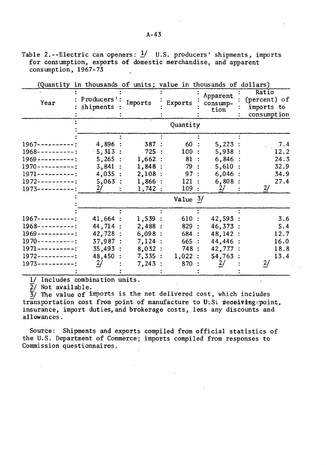Table 2.--Electric can openers:  $\underline{1} /$  U.S. producers' shipments, imports for consumption, exports of domestic merchandise, and apparent  $consumption, 1967-73$ 

| Year                     | Producers'<br>shipments | Imports | Exports             | Apparent<br>consump-<br>tion | Ratio<br>(percent) of<br>imports to<br>consumption |
|--------------------------|-------------------------|---------|---------------------|------------------------------|----------------------------------------------------|
|                          |                         |         | Quantity            |                              |                                                    |
|                          |                         |         |                     |                              |                                                    |
| $1967 - - - - - - - -$ : | 4,896                   | 387 :   | 60:                 | 5,223:                       | 7.4                                                |
| $1968 - - - - - - - -$ : | 5,313:                  | 725 :   | 100:                | 5,938:                       | 12.2                                               |
| $1969$ ----------:       | 5,265:                  | 1,662:  | 81:                 | 6,846:                       | 24.3                                               |
| $1970---------$          | 3,841                   | 1,848:  | 79 :                | 5,610:                       | 32.9                                               |
| $1971 - - - - - - -$ :   | 4,035                   | 2,108:  | 97:                 | 6,046:                       | 34.9                                               |
| $1972$ ----------:       | 5,063:                  | 1,866:  | 121:                | 6,808:                       | 27.4                                               |
| $1973 - - - - - - - -$ : | $\frac{2}{\pi}$         | 1,742:  | 109:                | 2/                           | $\frac{2}{\pi}$                                    |
|                          |                         |         | Value $\frac{3}{ }$ |                              |                                                    |
|                          |                         |         |                     |                              |                                                    |
| $1967$ ----------:       | 41,664:                 | 1,539:  | 610:                | 42,593 :                     | 3.6                                                |
| $1968 - - - - - - - -$   | 44,714 :                | 2,488:  | 829:                | 46,373 :                     | 5.4                                                |
| $1969$ ----------:       | 42,728 :                | 6,098:  | 684 :               | 48,142 :                     | 12.7                                               |
| $1970--------$           | 37,987                  | 7,124:  | 665 :               | 44,446 :                     | 16.0                                               |
| $1971$ ----------:       | 35,493 :                | 8,032:  | 748 :               | 42,777 :                     | 18.8                                               |
| $1972$ ----------:       | 48,450                  | 7,335:  | 1,022:              | 54,763 :                     | 13.4                                               |
| $1973 -$<br>---------*   | $\frac{2}{\ell}$        | 7,243:  | 870:                | $\frac{2}{ }$                | $\frac{2}{\pi}$                                    |
|                          |                         |         |                     |                              |                                                    |

(Quantity in thousands of units; value in thousands of dollars)

1/ Includes combination units.

 $\overline{2}$ / Not available.

 $3/$  The value of imports is the net delivered cost, which includes transportation cost from point of manufacture to U:S:  $\vec{r}$  eceiving point, insurance, import duties, and brokerage costs, less any discounts and allowances.

Source: Shipments and exports compiled from official statistics of the U.S. Department of Commerce; imports compiled from responses to Commission questionnaires.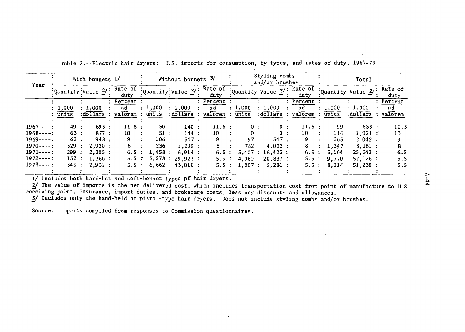| Year        | With bonnets $1/$                    |     |            |  |           | Without bonnets $\frac{3}{2}$ |  |                               |  | Styling combs<br>and/or brushes          |  |                |  |                  | Total |                           |  |         |  |                  |  |                                    |
|-------------|--------------------------------------|-----|------------|--|-----------|-------------------------------|--|-------------------------------|--|------------------------------------------|--|----------------|--|------------------|-------|---------------------------|--|---------|--|------------------|--|------------------------------------|
|             | 'Quantity Value $2/\sqrt{Rate}$ of : |     |            |  | duty      |                               |  |                               |  | 'Quantity Value $2/$ : Rate of :<br>duty |  | Quantity Value |  |                  |       | $2/$ : Rate of :.<br>duty |  |         |  |                  |  | Quantity Value 2/: Rate of<br>duty |
|             |                                      |     |            |  | : Percent |                               |  |                               |  | Percent                                  |  |                |  |                  |       | : Percent                 |  |         |  |                  |  | Percent                            |
|             | : 1,000                              |     | : 1.000    |  | ad        | : 1,000                       |  | : 1,000                       |  | ad                                       |  | : 1,000        |  | : 1,000          |       | ad                        |  | : 1,000 |  | : 1,000          |  | ad                                 |
|             | : units                              |     | :dollars : |  | valorem : | units                         |  | $: \overline{\text{dollars}}$ |  | valorem : units                          |  |                |  | dollars:         |       | $:$ valorem $:$           |  | units   |  | :dollars         |  | : valorem                          |
|             |                                      |     |            |  |           |                               |  |                               |  |                                          |  |                |  |                  |       |                           |  |         |  |                  |  |                                    |
| $1967---$ : | 49:                                  |     | 693:       |  | 11.5:     | 50:                           |  | 140:                          |  | 11.5:                                    |  | 0:             |  | 0:               |       | 11.5:                     |  | 99:     |  | 833:             |  | 11.5                               |
| $1968---$ : | 63                                   |     | 877:       |  | 10.       | 51:                           |  | 144:                          |  | 10                                       |  | 0:             |  | 0:               |       | 10                        |  | 114:    |  | $1,021$ :        |  | 10                                 |
| $1969---$ : | 62:                                  |     | 948:       |  | 9.        | 106:                          |  | 547:                          |  | 9                                        |  | 97:            |  | 547:             |       | 9.                        |  | 265:    |  | 2.042:           |  | 9                                  |
| $1970---$ : | 329                                  | -11 | 2,920:     |  | 8.        | 236:                          |  | 1.209:                        |  | 8.                                       |  | 782 :          |  | 4,032:           |       | 8.                        |  | 1.347:  |  | $8.161$ :        |  | 8                                  |
| $1971---$ : | 299                                  |     | 2,305:     |  | 6.5:      | 1.458:                        |  | $6.914$ :                     |  | 6.5                                      |  |                |  | 3,407 : 16,423 : |       | 6.5:                      |  |         |  | 5.164 : 25.642 : |  | 6.5                                |
| $1972---:$  | 132 :                                |     | 1.366:     |  |           |                               |  | $5.5:5$ , $5,578:29,923:$     |  | 5.5                                      |  |                |  | 4,060 : 20,837 : |       | 5.5:                      |  |         |  | 9.770 : 52.126 : |  | 5.5                                |
| $1973---$ : | 345:                                 |     | 2.931:     |  | $5.5$ :   |                               |  | 6,662 : 43,018 :              |  | 5.5                                      |  | 1,007:         |  | $5,281$ :        |       | 5.5 :                     |  |         |  | 8.014 : 51.230 : |  | 5.5                                |
|             |                                      |     |            |  |           |                               |  |                               |  |                                          |  |                |  |                  |       |                           |  |         |  |                  |  |                                    |

Table 3.--Electric hair dryers: U.S. imports for consumption, by types, and rates of duty, 1967-73

1/ Includes both hard-hat and soft-bonnet types of hair dryers.

 $\vec{2}$ / The value of imports is the net delivered cost, which includes transportation cost from point of manufacture to U.S. receiving point, insurance; import duties, and brokerage costs, less any discounts and allowances.

3/ Includes only the hand-held or pistol-type hair dryers. Does not include styling combs and/or brushes.

Source: Imports compiled· from responses to Commission questionnaires.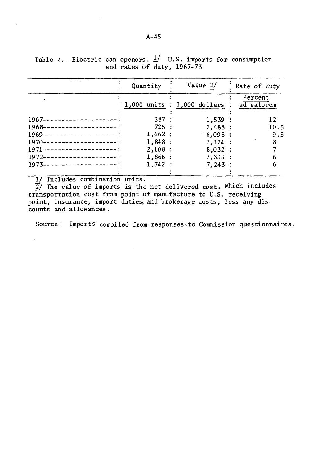|                                      | Quantity | $Va\frac{1}{2}ue$ 2/            | Rate of duty          |
|--------------------------------------|----------|---------------------------------|-----------------------|
|                                      |          | : 1,000 units : 1,000 dollars : | Percent<br>ad valorem |
| $1967 - - - - - - - - - - - - - -$   | 387:     | 1,539:                          | 12                    |
| $1968 - - - - - - - - - - - - - - -$ | 725:     | 2,488:                          | 10.5                  |
| $1969 - - - - - - - - - - - - - - -$ | 1,662:   | .6,098:                         | 9.5                   |
| $1970 - - - - - - - - - - - - - - -$ | 1,848:   | $7,124$ :                       | 8                     |
| $1971$ ----------------------        | 2,108:   | 8,032:                          |                       |
| 1972---------------------:           | 1,866:   | 7,335:                          |                       |
| $1973 - - - - - - - - - - - - - - -$ | 1,742:   | 7,243:                          |                       |
|                                      |          |                                 |                       |

Table 4.--Electric can openers:  $\frac{1}{1}$  U.S. imports for consumption and rates of duty, 1967-73

1/ Includes combination units.

 $\overline{2}$ / The value of imports is the net delivered cost, which includes transportation cost from point of manufacture to U.S. receiving point, insurance, import duties, and brokerage costs, less any discounts and allowances.

Source: Imports compiled from responses to Commission questionnaires.